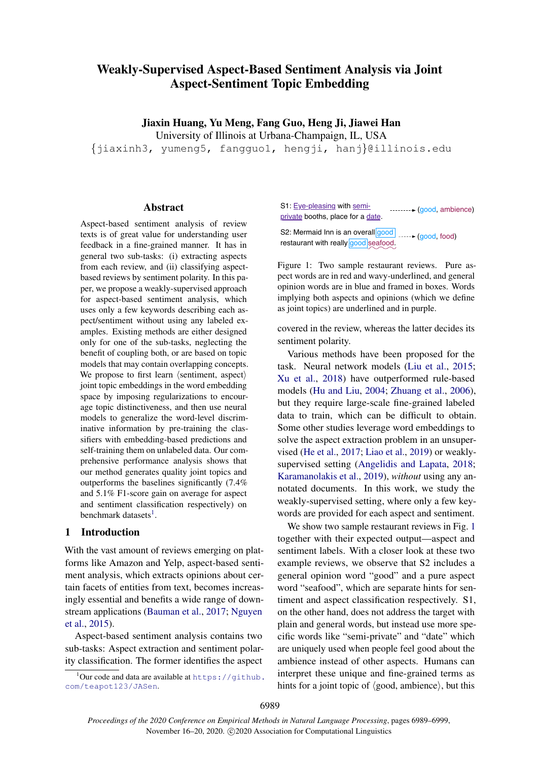# Weakly-Supervised Aspect-Based Sentiment Analysis via Joint Aspect-Sentiment Topic Embedding

Jiaxin Huang, Yu Meng, Fang Guo, Heng Ji, Jiawei Han

University of Illinois at Urbana-Champaign, IL, USA

{jiaxinh3, yumeng5, fangguo1, hengji, hanj}@illinois.edu

## Abstract

Aspect-based sentiment analysis of review texts is of great value for understanding user feedback in a fine-grained manner. It has in general two sub-tasks: (i) extracting aspects from each review, and (ii) classifying aspectbased reviews by sentiment polarity. In this paper, we propose a weakly-supervised approach for aspect-based sentiment analysis, which uses only a few keywords describing each aspect/sentiment without using any labeled examples. Existing methods are either designed only for one of the sub-tasks, neglecting the benefit of coupling both, or are based on topic models that may contain overlapping concepts. We propose to first learn  $\langle$  sentiment, aspect $\rangle$ joint topic embeddings in the word embedding space by imposing regularizations to encourage topic distinctiveness, and then use neural models to generalize the word-level discriminative information by pre-training the classifiers with embedding-based predictions and self-training them on unlabeled data. Our comprehensive performance analysis shows that our method generates quality joint topics and outperforms the baselines significantly (7.4% and 5.1% F1-score gain on average for aspect and sentiment classification respectively) on benchmark datasets<sup>[1](#page-0-0)</sup>.

#### 1 Introduction

With the vast amount of reviews emerging on platforms like Amazon and Yelp, aspect-based sentiment analysis, which extracts opinions about certain facets of entities from text, becomes increasingly essential and benefits a wide range of downstream applications [\(Bauman et al.,](#page-9-0) [2017;](#page-9-0) [Nguyen](#page-9-1) [et al.,](#page-9-1) [2015\)](#page-9-1).

Aspect-based sentiment analysis contains two sub-tasks: Aspect extraction and sentiment polarity classification. The former identifies the aspect

<span id="page-0-0"></span> $1$ Our code and data are available at https://qithub. [com/teapot123/JASen](https://github.com/teapot123/JASen).

<span id="page-0-1"></span>S1: Eye-pleasing with semiprivate booths, place for a date. ......... (good, ambience)

S2: Mermaid Inn is an overall **good** ....... (good, food) restaurant with really good seafood.

Figure 1: Two sample restaurant reviews. Pure aspect words are in red and wavy-underlined, and general opinion words are in blue and framed in boxes. Words implying both aspects and opinions (which we define as joint topics) are underlined and in purple.

covered in the review, whereas the latter decides its sentiment polarity.

Various methods have been proposed for the task. Neural network models [\(Liu et al.,](#page-9-2) [2015;](#page-9-2) [Xu et al.,](#page-10-0) [2018\)](#page-10-0) have outperformed rule-based models [\(Hu and Liu,](#page-9-3) [2004;](#page-9-3) [Zhuang et al.,](#page-10-1) [2006\)](#page-10-1), but they require large-scale fine-grained labeled data to train, which can be difficult to obtain. Some other studies leverage word embeddings to solve the aspect extraction problem in an unsupervised [\(He et al.,](#page-9-4) [2017;](#page-9-4) [Liao et al.,](#page-9-5) [2019\)](#page-9-5) or weaklysupervised setting [\(Angelidis and Lapata,](#page-9-6) [2018;](#page-9-6) [Karamanolakis et al.,](#page-9-7) [2019\)](#page-9-7), *without* using any annotated documents. In this work, we study the weakly-supervised setting, where only a few keywords are provided for each aspect and sentiment.

We show two sample restaurant reviews in Fig. [1](#page-0-1) together with their expected output—aspect and sentiment labels. With a closer look at these two example reviews, we observe that S2 includes a general opinion word "good" and a pure aspect word "seafood", which are separate hints for sentiment and aspect classification respectively. S1, on the other hand, does not address the target with plain and general words, but instead use more specific words like "semi-private" and "date" which are uniquely used when people feel good about the ambience instead of other aspects. Humans can interpret these unique and fine-grained terms as hints for a joint topic of  $\langle$  good, ambience $\rangle$ , but this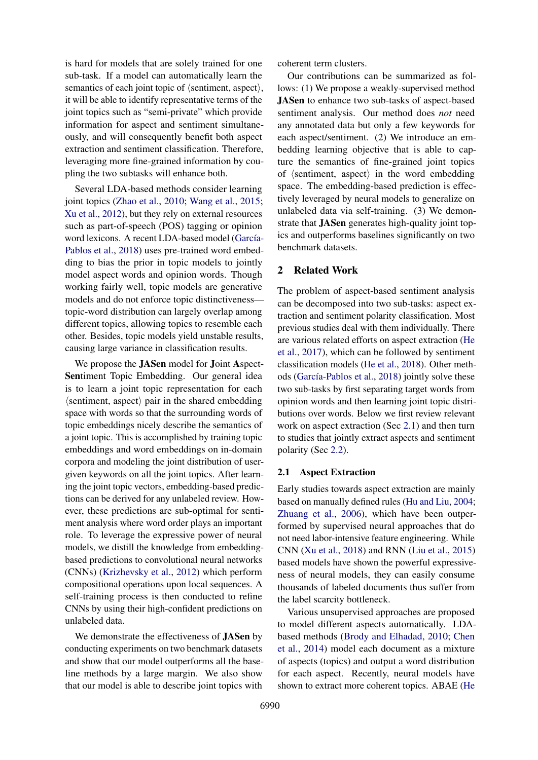is hard for models that are solely trained for one sub-task. If a model can automatically learn the semantics of each joint topic of  $\langle$  sentiment, aspect $\rangle$ , it will be able to identify representative terms of the joint topics such as "semi-private" which provide information for aspect and sentiment simultaneously, and will consequently benefit both aspect extraction and sentiment classification. Therefore, leveraging more fine-grained information by coupling the two subtasks will enhance both.

Several LDA-based methods consider learning joint topics [\(Zhao et al.,](#page-10-2) [2010;](#page-10-2) [Wang et al.,](#page-10-3) [2015;](#page-10-3) [Xu et al.,](#page-10-4) [2012\)](#page-10-4), but they rely on external resources such as part-of-speech (POS) tagging or opinion word lexicons. A recent LDA-based model (García-[Pablos et al.,](#page-9-8) [2018\)](#page-9-8) uses pre-trained word embedding to bias the prior in topic models to jointly model aspect words and opinion words. Though working fairly well, topic models are generative models and do not enforce topic distinctiveness topic-word distribution can largely overlap among different topics, allowing topics to resemble each other. Besides, topic models yield unstable results, causing large variance in classification results.

We propose the **JASen** model for **J**oint **Aspect**-Sentiment Topic Embedding. Our general idea is to learn a joint topic representation for each  $\langle$ sentiment, aspect $\rangle$  pair in the shared embedding space with words so that the surrounding words of topic embeddings nicely describe the semantics of a joint topic. This is accomplished by training topic embeddings and word embeddings on in-domain corpora and modeling the joint distribution of usergiven keywords on all the joint topics. After learning the joint topic vectors, embedding-based predictions can be derived for any unlabeled review. However, these predictions are sub-optimal for sentiment analysis where word order plays an important role. To leverage the expressive power of neural models, we distill the knowledge from embeddingbased predictions to convolutional neural networks (CNNs) [\(Krizhevsky et al.,](#page-9-9) [2012\)](#page-9-9) which perform compositional operations upon local sequences. A self-training process is then conducted to refine CNNs by using their high-confident predictions on unlabeled data.

We demonstrate the effectiveness of JASen by conducting experiments on two benchmark datasets and show that our model outperforms all the baseline methods by a large margin. We also show that our model is able to describe joint topics with

coherent term clusters.

Our contributions can be summarized as follows: (1) We propose a weakly-supervised method JASen to enhance two sub-tasks of aspect-based sentiment analysis. Our method does *not* need any annotated data but only a few keywords for each aspect/sentiment. (2) We introduce an embedding learning objective that is able to capture the semantics of fine-grained joint topics of  $\langle$  sentiment, aspect $\rangle$  in the word embedding space. The embedding-based prediction is effectively leveraged by neural models to generalize on unlabeled data via self-training. (3) We demonstrate that JASen generates high-quality joint topics and outperforms baselines significantly on two benchmark datasets.

# 2 Related Work

The problem of aspect-based sentiment analysis can be decomposed into two sub-tasks: aspect extraction and sentiment polarity classification. Most previous studies deal with them individually. There are various related efforts on aspect extraction [\(He](#page-9-4) [et al.,](#page-9-4) [2017\)](#page-9-4), which can be followed by sentiment classification models [\(He et al.,](#page-9-10) [2018\)](#page-9-10). Other meth-ods (García-Pablos et al., [2018\)](#page-9-8) jointly solve these two sub-tasks by first separating target words from opinion words and then learning joint topic distributions over words. Below we first review relevant work on aspect extraction (Sec [2.1\)](#page-1-0) and then turn to studies that jointly extract aspects and sentiment polarity (Sec [2.2\)](#page-2-0).

## <span id="page-1-0"></span>2.1 Aspect Extraction

Early studies towards aspect extraction are mainly based on manually defined rules [\(Hu and Liu,](#page-9-3) [2004;](#page-9-3) [Zhuang et al.,](#page-10-1) [2006\)](#page-10-1), which have been outperformed by supervised neural approaches that do not need labor-intensive feature engineering. While CNN [\(Xu et al.,](#page-10-0) [2018\)](#page-10-0) and RNN [\(Liu et al.,](#page-9-2) [2015\)](#page-9-2) based models have shown the powerful expressiveness of neural models, they can easily consume thousands of labeled documents thus suffer from the label scarcity bottleneck.

Various unsupervised approaches are proposed to model different aspects automatically. LDAbased methods [\(Brody and Elhadad,](#page-9-11) [2010;](#page-9-11) [Chen](#page-9-12) [et al.,](#page-9-12) [2014\)](#page-9-12) model each document as a mixture of aspects (topics) and output a word distribution for each aspect. Recently, neural models have shown to extract more coherent topics. ABAE [\(He](#page-9-4)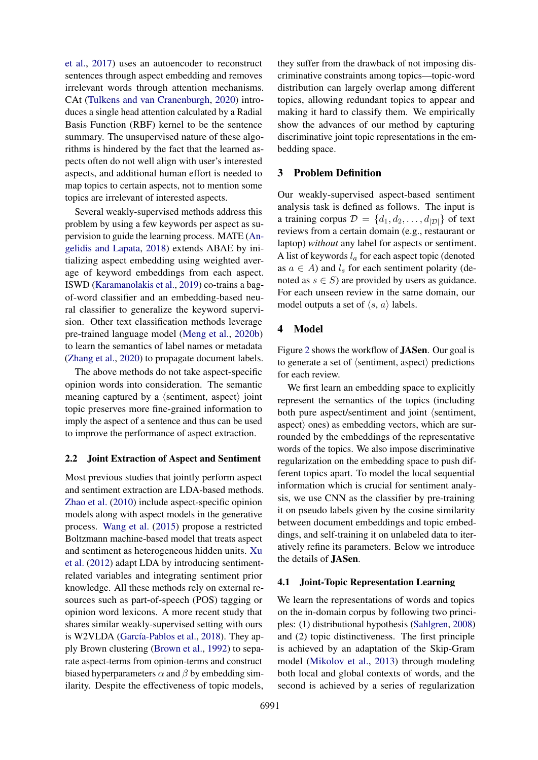[et al.,](#page-9-4) [2017\)](#page-9-4) uses an autoencoder to reconstruct sentences through aspect embedding and removes irrelevant words through attention mechanisms. CAt [\(Tulkens and van Cranenburgh,](#page-10-5) [2020\)](#page-10-5) introduces a single head attention calculated by a Radial Basis Function (RBF) kernel to be the sentence summary. The unsupervised nature of these algorithms is hindered by the fact that the learned aspects often do not well align with user's interested aspects, and additional human effort is needed to map topics to certain aspects, not to mention some topics are irrelevant of interested aspects.

Several weakly-supervised methods address this problem by using a few keywords per aspect as supervision to guide the learning process. MATE [\(An](#page-9-6)[gelidis and Lapata,](#page-9-6) [2018\)](#page-9-6) extends ABAE by initializing aspect embedding using weighted average of keyword embeddings from each aspect. ISWD [\(Karamanolakis et al.,](#page-9-7) [2019\)](#page-9-7) co-trains a bagof-word classifier and an embedding-based neural classifier to generalize the keyword supervision. Other text classification methods leverage pre-trained language model [\(Meng et al.,](#page-9-13) [2020b\)](#page-9-13) to learn the semantics of label names or metadata [\(Zhang et al.,](#page-10-6) [2020\)](#page-10-6) to propagate document labels.

The above methods do not take aspect-specific opinion words into consideration. The semantic meaning captured by a  $\langle$  sentiment, aspect $\rangle$  joint topic preserves more fine-grained information to imply the aspect of a sentence and thus can be used to improve the performance of aspect extraction.

#### <span id="page-2-0"></span>2.2 Joint Extraction of Aspect and Sentiment

Most previous studies that jointly perform aspect and sentiment extraction are LDA-based methods. [Zhao et al.](#page-10-2) [\(2010\)](#page-10-2) include aspect-specific opinion models along with aspect models in the generative process. [Wang et al.](#page-10-3) [\(2015\)](#page-10-3) propose a restricted Boltzmann machine-based model that treats aspect and sentiment as heterogeneous hidden units. [Xu](#page-10-4) [et al.](#page-10-4) [\(2012\)](#page-10-4) adapt LDA by introducing sentimentrelated variables and integrating sentiment prior knowledge. All these methods rely on external resources such as part-of-speech (POS) tagging or opinion word lexicons. A more recent study that shares similar weakly-supervised setting with ours is W2VLDA (García-Pablos et al., [2018\)](#page-9-8). They apply Brown clustering [\(Brown et al.,](#page-9-14) [1992\)](#page-9-14) to separate aspect-terms from opinion-terms and construct biased hyperparameters  $\alpha$  and  $\beta$  by embedding similarity. Despite the effectiveness of topic models,

they suffer from the drawback of not imposing discriminative constraints among topics—topic-word distribution can largely overlap among different topics, allowing redundant topics to appear and making it hard to classify them. We empirically show the advances of our method by capturing discriminative joint topic representations in the embedding space.

# 3 Problem Definition

Our weakly-supervised aspect-based sentiment analysis task is defined as follows. The input is a training corpus  $\mathcal{D} = \{d_1, d_2, \dots, d_{|\mathcal{D}|}\}\$  of text reviews from a certain domain (e.g., restaurant or laptop) *without* any label for aspects or sentiment. A list of keywords  $l_a$  for each aspect topic (denoted as  $a \in A$ ) and  $l_s$  for each sentiment polarity (denoted as  $s \in S$ ) are provided by users as guidance. For each unseen review in the same domain, our model outputs a set of  $\langle s, a \rangle$  labels.

## 4 Model

Figure [2](#page-3-0) shows the workflow of JASen. Our goal is to generate a set of  $\langle$  sentiment, aspect $\rangle$  predictions for each review.

We first learn an embedding space to explicitly represent the semantics of the topics (including both pure aspect/sentiment and joint  $\delta$  (sentiment, aspect $\rangle$  ones) as embedding vectors, which are surrounded by the embeddings of the representative words of the topics. We also impose discriminative regularization on the embedding space to push different topics apart. To model the local sequential information which is crucial for sentiment analysis, we use CNN as the classifier by pre-training it on pseudo labels given by the cosine similarity between document embeddings and topic embeddings, and self-training it on unlabeled data to iteratively refine its parameters. Below we introduce the details of JASen.

#### 4.1 Joint-Topic Representation Learning

We learn the representations of words and topics on the in-domain corpus by following two principles: (1) distributional hypothesis [\(Sahlgren,](#page-9-15) [2008\)](#page-9-15) and (2) topic distinctiveness. The first principle is achieved by an adaptation of the Skip-Gram model [\(Mikolov et al.,](#page-9-16) [2013\)](#page-9-16) through modeling both local and global contexts of words, and the second is achieved by a series of regularization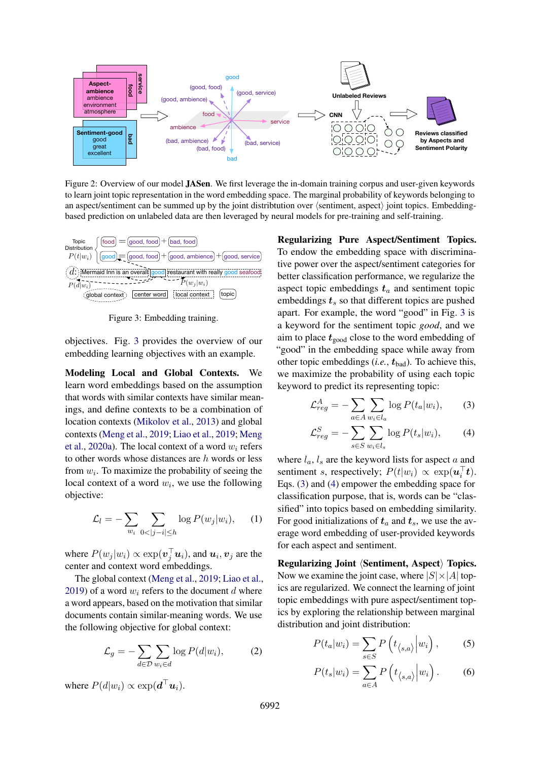<span id="page-3-0"></span>

Figure 2: Overview of our model JASen. We first leverage the in-domain training corpus and user-given keywords to learn joint topic representation in the word embedding space. The marginal probability of keywords belonging to an aspect/sentiment can be summed up by the joint distribtution over  $\langle$  sentiment, aspect $\rangle$  joint topics. Embeddingbased prediction on unlabeled data are then leveraged by neural models for pre-training and self-training.

<span id="page-3-1"></span>

Figure 3: Embedding training.

objectives. Fig. [3](#page-3-1) provides the overview of our embedding learning objectives with an example.

Modeling Local and Global Contexts. We learn word embeddings based on the assumption that words with similar contexts have similar meanings, and define contexts to be a combination of location contexts [\(Mikolov et al.,](#page-9-16) [2013\)](#page-9-16) and global contexts [\(Meng et al.,](#page-9-17) [2019;](#page-9-17) [Liao et al.,](#page-9-5) [2019;](#page-9-5) [Meng](#page-9-18) [et al.,](#page-9-18) [2020a\)](#page-9-18). The local context of a word  $w_i$  refers to other words whose distances are  $h$  words or less from  $w_i$ . To maximize the probability of seeing the local context of a word  $w_i$ , we use the following objective:

$$
\mathcal{L}_l = -\sum_{w_i} \sum_{0 < |j-i| \le h} \log P(w_j | w_i), \quad (1)
$$

where  $P(w_j|w_i) \propto \exp(\boldsymbol{v}_j^\top \boldsymbol{u}_i)$ , and  $\boldsymbol{u}_i, \boldsymbol{v}_j$  are the center and context word embeddings.

The global context [\(Meng et al.,](#page-9-17) [2019;](#page-9-17) [Liao et al.,](#page-9-5) [2019\)](#page-9-5) of a word  $w_i$  refers to the document d where a word appears, based on the motivation that similar documents contain similar-meaning words. We use the following objective for global context:

$$
\mathcal{L}_g = -\sum_{d \in \mathcal{D}} \sum_{w_i \in d} \log P(d|w_i), \tag{2}
$$

where  $P(d|w_i) \propto \exp(\boldsymbol{d}^\top \boldsymbol{u}_i)$ .

Regularizing Pure Aspect/Sentiment Topics. To endow the embedding space with discriminative power over the aspect/sentiment categories for better classification performance, we regularize the aspect topic embeddings  $t_a$  and sentiment topic embeddings  $t_s$  so that different topics are pushed apart. For example, the word "good" in Fig. [3](#page-3-1) is a keyword for the sentiment topic *good*, and we aim to place  $t_{\text{good}}$  close to the word embedding of "good" in the embedding space while away from other topic embeddings  $(i.e., t_{bad})$ . To achieve this, we maximize the probability of using each topic keyword to predict its representing topic:

<span id="page-3-2"></span>
$$
\mathcal{L}_{reg}^A = -\sum_{a \in A} \sum_{w_i \in l_a} \log P(t_a | w_i), \tag{3}
$$

<span id="page-3-3"></span>
$$
\mathcal{L}_{reg}^{S} = -\sum_{s \in S} \sum_{w_i \in l_s} \log P(t_s | w_i), \tag{4}
$$

where  $l_a$ ,  $l_s$  are the keyword lists for aspect a and sentiment s, respectively;  $P(t|w_i) \propto \exp(u_i^{\top}t)$ . Eqs. [\(3\)](#page-3-2) and [\(4\)](#page-3-3) empower the embedding space for classification purpose, that is, words can be "classified" into topics based on embedding similarity. For good initializations of  $t_a$  and  $t_s$ , we use the average word embedding of user-provided keywords for each aspect and sentiment.

Regularizing Joint *(Sentiment, Aspect)* Topics. Now we examine the joint case, where  $|S| \times |A|$  topics are regularized. We connect the learning of joint topic embeddings with pure aspect/sentiment topics by exploring the relationship between marginal distribution and joint distribution:

<span id="page-3-4"></span>
$$
P(t_a|w_i) = \sum_{s \in S} P(t_{\langle s,a \rangle}|w_i), \quad (5)
$$

<span id="page-3-5"></span>
$$
P(t_s|w_i) = \sum_{a \in A} P\left(t_{\langle s,a \rangle}|w_i\right). \tag{6}
$$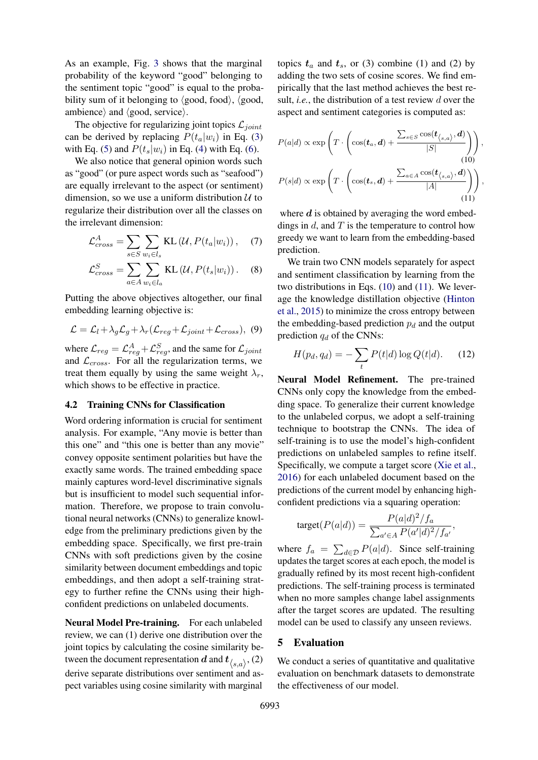As an example, Fig. [3](#page-3-1) shows that the marginal probability of the keyword "good" belonging to the sentiment topic "good" is equal to the probability sum of it belonging to  $\langle \text{good}, \text{food}\rangle$ ,  $\langle \text{good}, \text{food}\rangle$ ambience) and  $\langle$  good, service $\rangle$ .

The objective for regularizing joint topics  $\mathcal{L}_{joint}$ can be derived by replacing  $P(t_a|w_i)$  in Eq. [\(3\)](#page-3-2) with Eq. [\(5\)](#page-3-4) and  $P(t_s|w_i)$  in Eq. [\(4\)](#page-3-3) with Eq. [\(6\)](#page-3-5).

We also notice that general opinion words such as "good" (or pure aspect words such as "seafood") are equally irrelevant to the aspect (or sentiment) dimension, so we use a uniform distribution  $U$  to regularize their distribution over all the classes on the irrelevant dimension:

$$
\mathcal{L}_{cross}^{A} = \sum_{s \in S} \sum_{w_i \in l_s} \text{KL}(\mathcal{U}, P(t_a | w_i)), \quad (7)
$$

$$
\mathcal{L}_{cross}^{S} = \sum_{a \in A} \sum_{w_i \in l_a} \text{KL}(\mathcal{U}, P(t_s | w_i)). \quad (8)
$$

Putting the above objectives altogether, our final embedding learning objective is:

$$
\mathcal{L} = \mathcal{L}_l + \lambda_g \mathcal{L}_g + \lambda_r (\mathcal{L}_{reg} + \mathcal{L}_{joint} + \mathcal{L}_{cross}), \tag{9}
$$

where  $\mathcal{L}_{reg} = \mathcal{L}_{reg}^{A} + \mathcal{L}_{reg}^{S}$ , and the same for  $\mathcal{L}_{joint}$ and  $\mathcal{L}_{cross}$ . For all the regularization terms, we treat them equally by using the same weight  $\lambda_r$ , which shows to be effective in practice.

#### 4.2 Training CNNs for Classification

Word ordering information is crucial for sentiment analysis. For example, "Any movie is better than this one" and "this one is better than any movie" convey opposite sentiment polarities but have the exactly same words. The trained embedding space mainly captures word-level discriminative signals but is insufficient to model such sequential information. Therefore, we propose to train convolutional neural networks (CNNs) to generalize knowledge from the preliminary predictions given by the embedding space. Specifically, we first pre-train CNNs with soft predictions given by the cosine similarity between document embeddings and topic embeddings, and then adopt a self-training strategy to further refine the CNNs using their highconfident predictions on unlabeled documents.

Neural Model Pre-training. For each unlabeled review, we can (1) derive one distribution over the joint topics by calculating the cosine similarity between the document representation  $d$  and  $t_{\langle s,a \rangle}$ , (2) derive separate distributions over sentiment and aspect variables using cosine similarity with marginal

topics  $t_a$  and  $t_s$ , or (3) combine (1) and (2) by adding the two sets of cosine scores. We find empirically that the last method achieves the best result, *i.e.*, the distribution of a test review d over the aspect and sentiment categories is computed as:

<span id="page-4-0"></span>
$$
P(a|d) \propto \exp\left(T \cdot \left(\cos(t_a, d) + \frac{\sum_{s \in S} \cos(t_{\langle s, a \rangle}, d)}{|S|}\right)\right),\tag{10}
$$

$$
P(s|d) \propto \exp\left(T \cdot \left(\cos(t_s, d) + \frac{\sum_{a \in A} \cos(t_{\langle s, a \rangle}, d)}{|A|}\right)\right),\tag{11}
$$

<span id="page-4-1"></span>where  $d$  is obtained by averaging the word embeddings in  $d$ , and  $T$  is the temperature to control how greedy we want to learn from the embedding-based prediction.

We train two CNN models separately for aspect and sentiment classification by learning from the two distributions in Eqs. [\(10\)](#page-4-0) and [\(11\)](#page-4-1). We leverage the knowledge distillation objective [\(Hinton](#page-9-19) [et al.,](#page-9-19) [2015\)](#page-9-19) to minimize the cross entropy between the embedding-based prediction  $p_d$  and the output prediction  $q_d$  of the CNNs:

$$
H(p_d, q_d) = -\sum_t P(t|d) \log Q(t|d). \tag{12}
$$

Neural Model Refinement. The pre-trained CNNs only copy the knowledge from the embedding space. To generalize their current knowledge to the unlabeled corpus, we adopt a self-training technique to bootstrap the CNNs. The idea of self-training is to use the model's high-confident predictions on unlabeled samples to refine itself. Specifically, we compute a target score [\(Xie et al.,](#page-10-7) [2016\)](#page-10-7) for each unlabeled document based on the predictions of the current model by enhancing highconfident predictions via a squaring operation:

$$
\text{target}(P(a|d)) = \frac{P(a|d)^2/f_a}{\sum_{a' \in A} P(a'|d)^2/f_{a'}},
$$

where  $f_a = \sum_{d \in \mathcal{D}} P(a|d)$ . Since self-training updates the target scores at each epoch, the model is gradually refined by its most recent high-confident predictions. The self-training process is terminated when no more samples change label assignments after the target scores are updated. The resulting model can be used to classify any unseen reviews.

## 5 Evaluation

We conduct a series of quantitative and qualitative evaluation on benchmark datasets to demonstrate the effectiveness of our model.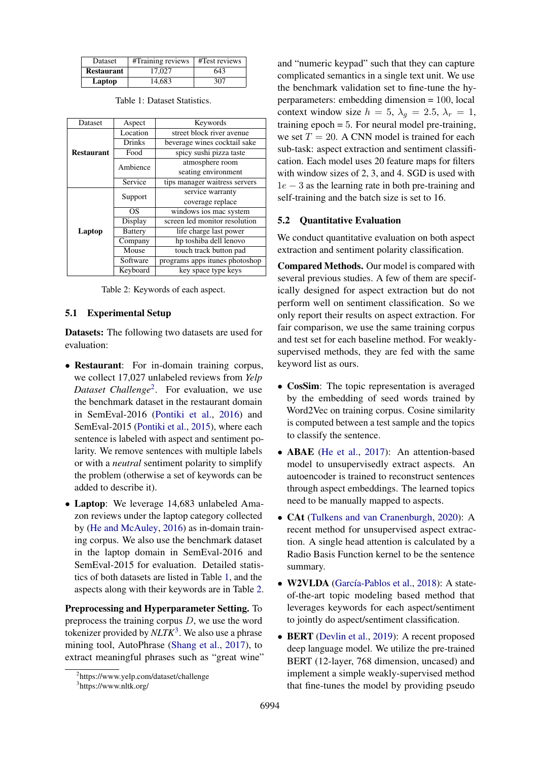<span id="page-5-1"></span>

| <b>Dataset</b>    | #Training reviews | #Test reviews |  |  |
|-------------------|-------------------|---------------|--|--|
| <b>Restaurant</b> | 17.027            | 643           |  |  |
| Laptop            | 14,683            | 307           |  |  |

<span id="page-5-2"></span>

| Dataset           | Aspect         | Keywords                       |  |  |  |
|-------------------|----------------|--------------------------------|--|--|--|
|                   | Location       | street block river avenue      |  |  |  |
|                   | Drinks         | beverage wines cocktail sake   |  |  |  |
| <b>Restaurant</b> | Food           | spicy sushi pizza taste        |  |  |  |
|                   | Ambience       | atmosphere room                |  |  |  |
|                   |                | seating environment            |  |  |  |
|                   | Service        | tips manager waitress servers  |  |  |  |
|                   | Support        | service warranty               |  |  |  |
|                   |                | coverage replace               |  |  |  |
|                   | OS             | windows ios mac system         |  |  |  |
|                   | Display        | screen led monitor resolution  |  |  |  |
| Laptop            | <b>Battery</b> | life charge last power         |  |  |  |
|                   | Company        | hp toshiba dell lenovo         |  |  |  |
|                   | Mouse          | touch track button pad         |  |  |  |
|                   | Software       | programs apps itunes photoshop |  |  |  |
|                   | Keyboard       | key space type keys            |  |  |  |

Table 1: Dataset Statistics.

Table 2: Keywords of each aspect.

#### 5.1 Experimental Setup

Datasets: The following two datasets are used for evaluation:

- Restaurant: For in-domain training corpus, we collect 17,027 unlabeled reviews from *Yelp Dataset Challenge*[2](#page-5-0) . For evaluation, we use the benchmark dataset in the restaurant domain in SemEval-2016 [\(Pontiki et al.,](#page-9-20) [2016\)](#page-9-20) and SemEval-2015 [\(Pontiki et al.,](#page-9-21) [2015\)](#page-9-21), where each sentence is labeled with aspect and sentiment polarity. We remove sentences with multiple labels or with a *neutral* sentiment polarity to simplify the problem (otherwise a set of keywords can be added to describe it).
- Laptop: We leverage 14,683 unlabeled Amazon reviews under the laptop category collected by [\(He and McAuley,](#page-9-22) [2016\)](#page-9-22) as in-domain training corpus. We also use the benchmark dataset in the laptop domain in SemEval-2016 and SemEval-2015 for evaluation. Detailed statistics of both datasets are listed in Table [1,](#page-5-1) and the aspects along with their keywords are in Table [2.](#page-5-2)

Preprocessing and Hyperparameter Setting. To preprocess the training corpus  $D$ , we use the word tokenizer provided by *NLTK*<sup>[3](#page-5-3)</sup>. We also use a phrase mining tool, AutoPhrase [\(Shang et al.,](#page-9-23) [2017\)](#page-9-23), to extract meaningful phrases such as "great wine"

and "numeric keypad" such that they can capture complicated semantics in a single text unit. We use the benchmark validation set to fine-tune the hyperparameters: embedding dimension = 100, local context window size  $h = 5$ ,  $\lambda_q = 2.5$ ,  $\lambda_r = 1$ , training  $epoch = 5$ . For neural model pre-training, we set  $T = 20$ . A CNN model is trained for each sub-task: aspect extraction and sentiment classification. Each model uses 20 feature maps for filters with window sizes of 2, 3, and 4. SGD is used with  $1e - 3$  as the learning rate in both pre-training and self-training and the batch size is set to 16.

# 5.2 Quantitative Evaluation

We conduct quantitative evaluation on both aspect extraction and sentiment polarity classification.

Compared Methods. Our model is compared with several previous studies. A few of them are specifically designed for aspect extraction but do not perform well on sentiment classification. So we only report their results on aspect extraction. For fair comparison, we use the same training corpus and test set for each baseline method. For weaklysupervised methods, they are fed with the same keyword list as ours.

- CosSim: The topic representation is averaged by the embedding of seed words trained by Word2Vec on training corpus. Cosine similarity is computed between a test sample and the topics to classify the sentence.
- ABAE [\(He et al.,](#page-9-4) [2017\)](#page-9-4): An attention-based model to unsupervisedly extract aspects. An autoencoder is trained to reconstruct sentences through aspect embeddings. The learned topics need to be manually mapped to aspects.
- CAt [\(Tulkens and van Cranenburgh,](#page-10-5) [2020\)](#page-10-5): A recent method for unsupervised aspect extraction. A single head attention is calculated by a Radio Basis Function kernel to be the sentence summary.
- W2VLDA (García-Pablos et al., [2018\)](#page-9-8): A stateof-the-art topic modeling based method that leverages keywords for each aspect/sentiment to jointly do aspect/sentiment classification.
- BERT [\(Devlin et al.,](#page-9-24) [2019\)](#page-9-24): A recent proposed deep language model. We utilize the pre-trained BERT (12-layer, 768 dimension, uncased) and implement a simple weakly-supervised method that fine-tunes the model by providing pseudo

<span id="page-5-0"></span><sup>2</sup> https://www.yelp.com/dataset/challenge

<span id="page-5-3"></span><sup>3</sup> https://www.nltk.org/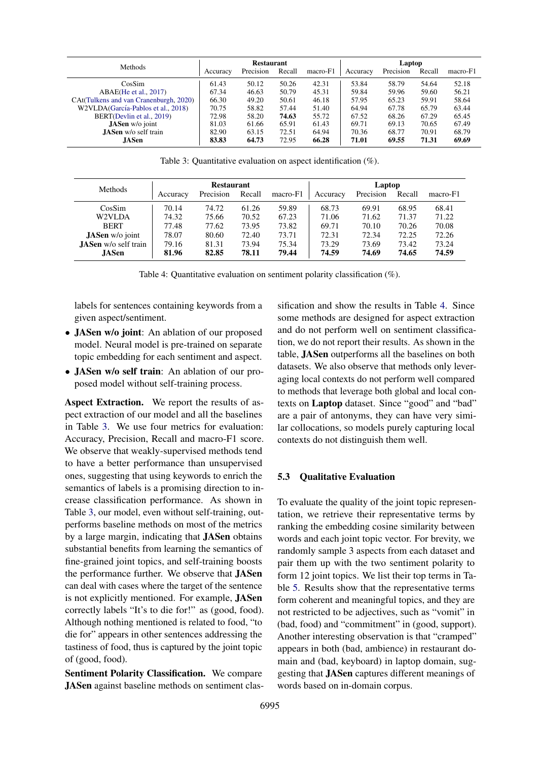<span id="page-6-0"></span>

| <b>Methods</b>                         | <b>Restaurant</b> |           |        |          | Laptop   |           |        |          |
|----------------------------------------|-------------------|-----------|--------|----------|----------|-----------|--------|----------|
|                                        | Accuracy          | Precision | Recall | macro-F1 | Accuracy | Precision | Recall | macro-F1 |
| CosSim                                 | 61.43             | 50.12     | 50.26  | 42.31    | 53.84    | 58.79     | 54.64  | 52.18    |
| ABAE(He et al., 2017)                  | 67.34             | 46.63     | 50.79  | 45.31    | 59.84    | 59.96     | 59.60  | 56.21    |
| CAt(Tulkens and van Cranenburgh, 2020) | 66.30             | 49.20     | 50.61  | 46.18    | 57.95    | 65.23     | 59.91  | 58.64    |
| W2VLDA (García-Pablos et al., 2018)    | 70.75             | 58.82     | 57.44  | 51.40    | 64.94    | 67.78     | 65.79  | 63.44    |
| BERT(Devlin et al., 2019)              | 72.98             | 58.20     | 74.63  | 55.72    | 67.52    | 68.26     | 67.29  | 65.45    |
| <b>JASen</b> w/o joint                 | 81.03             | 61.66     | 65.91  | 61.43    | 69.71    | 69.13     | 70.65  | 67.49    |
| <b>JASen</b> w/o self train            | 82.90             | 63.15     | 72.51  | 64.94    | 70.36    | 68.77     | 70.91  | 68.79    |
| <b>JASen</b>                           | 83.83             | 64.73     | 72.95  | 66.28    | 71.01    | 69.55     | 71.31  | 69.69    |

Table 3: Quantitative evaluation on aspect identification (%).

<span id="page-6-1"></span>

| <b>Methods</b>              | <b>Restaurant</b> |           |        |          | Laptop   |           |        |          |
|-----------------------------|-------------------|-----------|--------|----------|----------|-----------|--------|----------|
|                             | Accuracy          | Precision | Recall | macro-F1 | Accuracy | Precision | Recall | macro-F1 |
| CosSim                      | 70.14             | 74.72     | 61.26  | 59.89    | 68.73    | 69.91     | 68.95  | 68.41    |
| W2VLDA                      | 74.32             | 75.66     | 70.52  | 67.23    | 71.06    | 71.62     | 71.37  | 71.22    |
| <b>BERT</b>                 | 77.48             | 77.62     | 73.95  | 73.82    | 69.71    | 70.10     | 70.26  | 70.08    |
| <b>JASen</b> w/o joint      | 78.07             | 80.60     | 72.40  | 73.71    | 72.31    | 72.34     | 72.25  | 72.26    |
| <b>JASen</b> w/o self train | 79.16             | 81.31     | 73.94  | 75.34    | 73.29    | 73.69     | 73.42  | 73.24    |
| <b>JASen</b>                | 81.96             | 82.85     | 78.11  | 79.44    | 74.59    | 74.69     | 74.65  | 74.59    |

Table 4: Quantitative evaluation on sentiment polarity classification (%).

labels for sentences containing keywords from a given aspect/sentiment.

- JASen w/o joint: An ablation of our proposed model. Neural model is pre-trained on separate topic embedding for each sentiment and aspect.
- JASen w/o self train: An ablation of our proposed model without self-training process.

Aspect Extraction. We report the results of aspect extraction of our model and all the baselines in Table [3.](#page-6-0) We use four metrics for evaluation: Accuracy, Precision, Recall and macro-F1 score. We observe that weakly-supervised methods tend to have a better performance than unsupervised ones, suggesting that using keywords to enrich the semantics of labels is a promising direction to increase classification performance. As shown in Table [3,](#page-6-0) our model, even without self-training, outperforms baseline methods on most of the metrics by a large margin, indicating that JASen obtains substantial benefits from learning the semantics of fine-grained joint topics, and self-training boosts the performance further. We observe that JASen can deal with cases where the target of the sentence is not explicitly mentioned. For example, JASen correctly labels "It's to die for!" as (good, food). Although nothing mentioned is related to food, "to die for" appears in other sentences addressing the tastiness of food, thus is captured by the joint topic of (good, food).

Sentiment Polarity Classification. We compare JASen against baseline methods on sentiment classification and show the results in Table [4.](#page-6-1) Since some methods are designed for aspect extraction and do not perform well on sentiment classification, we do not report their results. As shown in the table, JASen outperforms all the baselines on both datasets. We also observe that methods only leveraging local contexts do not perform well compared to methods that leverage both global and local contexts on Laptop dataset. Since "good" and "bad" are a pair of antonyms, they can have very similar collocations, so models purely capturing local contexts do not distinguish them well.

#### 5.3 Qualitative Evaluation

To evaluate the quality of the joint topic representation, we retrieve their representative terms by ranking the embedding cosine similarity between words and each joint topic vector. For brevity, we randomly sample 3 aspects from each dataset and pair them up with the two sentiment polarity to form 12 joint topics. We list their top terms in Table [5.](#page-7-0) Results show that the representative terms form coherent and meaningful topics, and they are not restricted to be adjectives, such as "vomit" in (bad, food) and "commitment" in (good, support). Another interesting observation is that "cramped" appears in both (bad, ambience) in restaurant domain and (bad, keyboard) in laptop domain, suggesting that JASen captures different meanings of words based on in-domain corpus.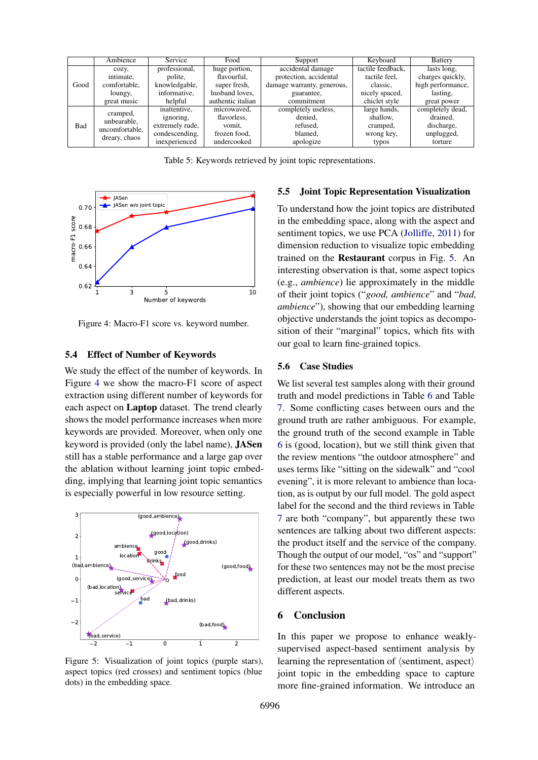<span id="page-7-0"></span>

|      | Ambience       | Service         | Food              | Support                    | Keyboard          | <b>Battery</b>    |
|------|----------------|-----------------|-------------------|----------------------------|-------------------|-------------------|
|      | COZV,          | professional,   | huge portion,     | accidental damage          | tactile feedback. | lasts long.       |
|      | intimate.      | polite,         | flavourful.       | protection, accidental     | tactile feel,     | charges quickly,  |
| Good | comfortable,   | knowledgable,   | super fresh,      | damage warranty, generous, | classic,          | high performance, |
|      | loungy,        | informative,    | husband loves.    | guarantee,                 | nicely spaced,    | lasting,          |
|      | great music    | helpful         | authentic italian | commitment                 | chiclet style     | great power       |
|      | cramped,       | inattentive,    | microwaved,       | completely useless,        | large hands,      | completely dead,  |
|      | unbearable.    | ignoring.       | flavorless.       | denied,                    | shallow,          | drained.          |
| Bad  | uncomfortable. | extremely rude, | vomit.            | refused,                   | cramped,          | discharge.        |
|      |                | condescending.  | frozen food.      | blamed.                    | wrong key,        | unplugged,        |
|      | dreary, chaos  | inexperienced   | undercooked       | apologize                  | typos             | torture           |

Table 5: Keywords retrieved by joint topic representations.

<span id="page-7-1"></span>

Figure 4: Macro-F1 score vs. keyword number.

#### 5.4 Effect of Number of Keywords

We study the effect of the number of keywords. In Figure [4](#page-7-1) we show the macro-F1 score of aspect extraction using different number of keywords for each aspect on Laptop dataset. The trend clearly shows the model performance increases when more keywords are provided. Moreover, when only one keyword is provided (only the label name), JASen still has a stable performance and a large gap over the ablation without learning joint topic embedding, implying that learning joint topic semantics is especially powerful in low resource setting.

<span id="page-7-2"></span>

Figure 5: Visualization of joint topics (purple stars), aspect topics (red crosses) and sentiment topics (blue dots) in the embedding space.

## 5.5 Joint Topic Representation Visualization

To understand how the joint topics are distributed in the embedding space, along with the aspect and sentiment topics, we use PCA [\(Jolliffe,](#page-9-25) [2011\)](#page-9-25) for dimension reduction to visualize topic embedding trained on the Restaurant corpus in Fig. [5.](#page-7-2) An interesting observation is that, some aspect topics (e.g., *ambience*) lie approximately in the middle of their joint topics ("*good, ambience*" and "*bad, ambience*"), showing that our embedding learning objective understands the joint topics as decomposition of their "marginal" topics, which fits with our goal to learn fine-grained topics.

#### 5.6 Case Studies

We list several test samples along with their ground truth and model predictions in Table [6](#page-8-0) and Table [7.](#page-8-1) Some conflicting cases between ours and the ground truth are rather ambiguous. For example, the ground truth of the second example in Table [6](#page-8-0) is (good, location), but we still think given that the review mentions "the outdoor atmosphere" and uses terms like "sitting on the sidewalk" and "cool evening", it is more relevant to ambience than location, as is output by our full model. The gold aspect label for the second and the third reviews in Table [7](#page-8-1) are both "company", but apparently these two sentences are talking about two different aspects: the product itself and the service of the company. Though the output of our model, "os" and "support" for these two sentences may not be the most precise prediction, at least our model treats them as two different aspects.

#### 6 Conclusion

In this paper we propose to enhance weaklysupervised aspect-based sentiment analysis by learning the representation of  $\langle$  sentiment, aspect $\rangle$ joint topic in the embedding space to capture more fine-grained information. We introduce an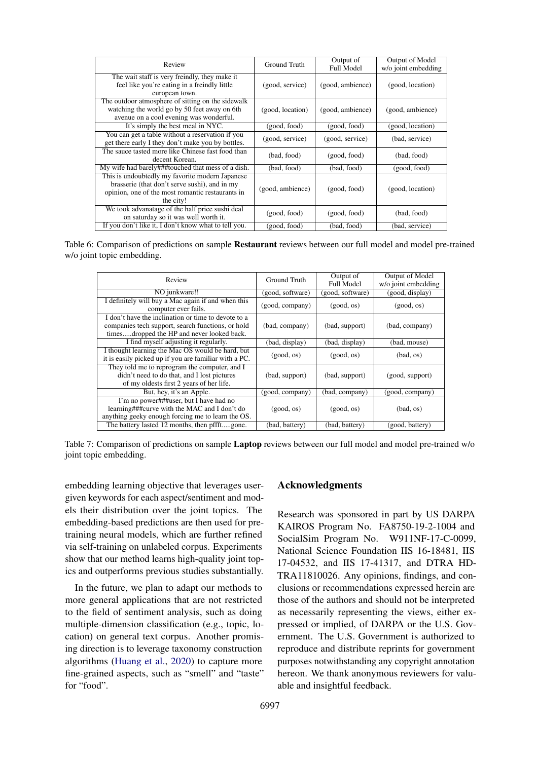<span id="page-8-0"></span>

| Review                                                                                                                                                            | Ground Truth     | Output of<br>Full Model | Output of Model<br>w/o joint embedding |
|-------------------------------------------------------------------------------------------------------------------------------------------------------------------|------------------|-------------------------|----------------------------------------|
| The wait staff is very freindly, they make it<br>feel like you're eating in a freindly little<br>european town.                                                   | (good, service)  | (good, ambience)        | (good, location)                       |
| The outdoor atmosphere of sitting on the sidewalk<br>watching the world go by 50 feet away on 6th<br>avenue on a cool evening was wonderful.                      | (good, location) | (good, ambience)        | (good, ambience)                       |
| It's simply the best meal in NYC.                                                                                                                                 | (good, food)     | (good, food)            | (good, location)                       |
| You can get a table without a reservation if you<br>get there early I they don't make you by bottles.                                                             | (good, service)  | (good, service)         | (bad, service)                         |
| The sauce tasted more like Chinese fast food than<br>decent Korean.                                                                                               | (bad, food)      | (good, food)            | (bad, food)                            |
| My wife had barely###touched that mess of a dish.                                                                                                                 | (bad, food)      | (bad, food)             | (good, food)                           |
| This is undoubtedly my favorite modern Japanese<br>brasserie (that don't serve sushi), and in my<br>opinion, one of the most romantic restaurants in<br>the city! | (good, ambience) | (good, food)            | (good, location)                       |
| We took advanatage of the half price sushi deal<br>on saturday so it was well worth it.                                                                           | (good, food)     | (good, food)            | (bad, food)                            |
| If you don't like it, I don't know what to tell you.                                                                                                              | (good, food)     | (bad, food)             | (bad, service)                         |

<span id="page-8-1"></span>Table 6: Comparison of predictions on sample Restaurant reviews between our full model and model pre-trained w/o joint topic embedding.

| Review                                                                                                                                                 | Ground Truth     | Output of<br>Full Model | Output of Model<br>w/o joint embedding |  |
|--------------------------------------------------------------------------------------------------------------------------------------------------------|------------------|-------------------------|----------------------------------------|--|
| NO junkware!!                                                                                                                                          | (good, software) | (good, software)        | (good, display)                        |  |
| I definitely will buy a Mac again if and when this<br>computer ever fails.                                                                             | (good, company)  | (good, os)              | (good, os)                             |  |
| I don't have the inclination or time to devote to a<br>companies tech support, search functions, or hold<br>timesdropped the HP and never looked back. | (bad, company)   | (bad, support)          | (bad, company)                         |  |
| I find myself adjusting it regularly.                                                                                                                  | (bad, display)   | (bad, display)          | (bad, mouse)                           |  |
| I thought learning the Mac OS would be hard, but<br>it is easily picked up if you are familiar with a PC.                                              | (good, os)       | (good, os)              | (bad, os)                              |  |
| They told me to reprogram the computer, and I<br>didn't need to do that, and I lost pictures<br>of my oldests first 2 years of her life.               | (bad, support)   | (bad, support)          | (good, support)                        |  |
| But, hey, it's an Apple.                                                                                                                               | (good, company)  | (bad, company)          | (good, company)                        |  |
| I'm no power###user, but I have had no<br>learning###curve with the MAC and I don't do<br>anything geeky enough forcing me to learn the OS.            | (good, os)       | (good, os)              | (bad, os)                              |  |
| The battery lasted 12 months, then pffftgone.                                                                                                          | (bad, battery)   | (bad, battery)          | (good, battery)                        |  |

Table 7: Comparison of predictions on sample Laptop reviews between our full model and model pre-trained w/o joint topic embedding.

embedding learning objective that leverages usergiven keywords for each aspect/sentiment and models their distribution over the joint topics. The embedding-based predictions are then used for pretraining neural models, which are further refined via self-training on unlabeled corpus. Experiments show that our method learns high-quality joint topics and outperforms previous studies substantially.

In the future, we plan to adapt our methods to more general applications that are not restricted to the field of sentiment analysis, such as doing multiple-dimension classification (e.g., topic, location) on general text corpus. Another promising direction is to leverage taxonomy construction algorithms [\(Huang et al.,](#page-9-26) [2020\)](#page-9-26) to capture more fine-grained aspects, such as "smell" and "taste" for "food".

## Acknowledgments

Research was sponsored in part by US DARPA KAIROS Program No. FA8750-19-2-1004 and SocialSim Program No. W911NF-17-C-0099, National Science Foundation IIS 16-18481, IIS 17-04532, and IIS 17-41317, and DTRA HD-TRA11810026. Any opinions, findings, and conclusions or recommendations expressed herein are those of the authors and should not be interpreted as necessarily representing the views, either expressed or implied, of DARPA or the U.S. Government. The U.S. Government is authorized to reproduce and distribute reprints for government purposes notwithstanding any copyright annotation hereon. We thank anonymous reviewers for valuable and insightful feedback.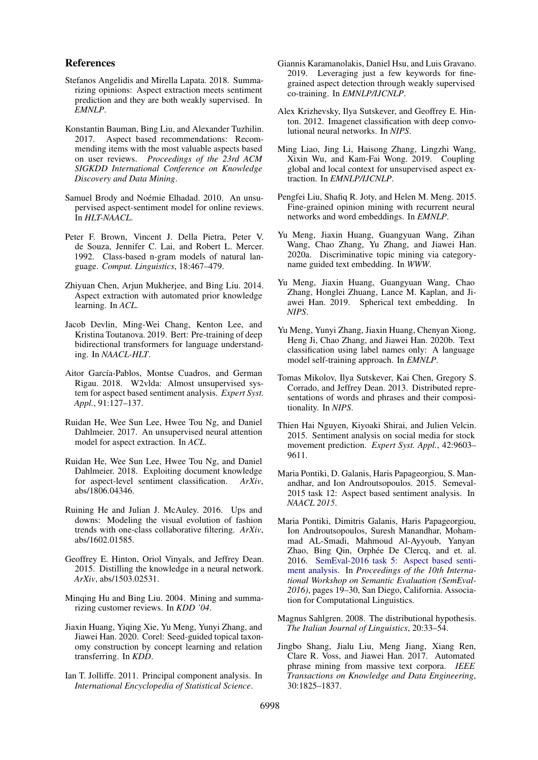#### References

- <span id="page-9-6"></span>Stefanos Angelidis and Mirella Lapata. 2018. Summarizing opinions: Aspect extraction meets sentiment prediction and they are both weakly supervised. In *EMNLP*.
- <span id="page-9-0"></span>Konstantin Bauman, Bing Liu, and Alexander Tuzhilin. 2017. Aspect based recommendations: Recommending items with the most valuable aspects based on user reviews. *Proceedings of the 23rd ACM SIGKDD International Conference on Knowledge Discovery and Data Mining*.
- <span id="page-9-11"></span>Samuel Brody and Noémie Elhadad. 2010. An unsupervised aspect-sentiment model for online reviews. In *HLT-NAACL*.
- <span id="page-9-14"></span>Peter F. Brown, Vincent J. Della Pietra, Peter V. de Souza, Jennifer C. Lai, and Robert L. Mercer. 1992. Class-based n-gram models of natural language. *Comput. Linguistics*, 18:467–479.
- <span id="page-9-12"></span>Zhiyuan Chen, Arjun Mukherjee, and Bing Liu. 2014. Aspect extraction with automated prior knowledge learning. In *ACL*.
- <span id="page-9-24"></span>Jacob Devlin, Ming-Wei Chang, Kenton Lee, and Kristina Toutanova. 2019. Bert: Pre-training of deep bidirectional transformers for language understanding. In *NAACL-HLT*.
- <span id="page-9-8"></span>Aitor García-Pablos, Montse Cuadros, and German Rigau. 2018. W2vlda: Almost unsupervised system for aspect based sentiment analysis. *Expert Syst. Appl.*, 91:127–137.
- <span id="page-9-4"></span>Ruidan He, Wee Sun Lee, Hwee Tou Ng, and Daniel Dahlmeier. 2017. An unsupervised neural attention model for aspect extraction. In *ACL*.
- <span id="page-9-10"></span>Ruidan He, Wee Sun Lee, Hwee Tou Ng, and Daniel Dahlmeier. 2018. Exploiting document knowledge for aspect-level sentiment classification. *ArXiv*, abs/1806.04346.
- <span id="page-9-22"></span>Ruining He and Julian J. McAuley. 2016. Ups and downs: Modeling the visual evolution of fashion trends with one-class collaborative filtering. *ArXiv*, abs/1602.01585.
- <span id="page-9-19"></span>Geoffrey E. Hinton, Oriol Vinyals, and Jeffrey Dean. 2015. Distilling the knowledge in a neural network. *ArXiv*, abs/1503.02531.
- <span id="page-9-3"></span>Minqing Hu and Bing Liu. 2004. Mining and summarizing customer reviews. In *KDD '04*.
- <span id="page-9-26"></span>Jiaxin Huang, Yiqing Xie, Yu Meng, Yunyi Zhang, and Jiawei Han. 2020. Corel: Seed-guided topical taxonomy construction by concept learning and relation transferring. In *KDD*.
- <span id="page-9-25"></span>Ian T. Jolliffe. 2011. Principal component analysis. In *International Encyclopedia of Statistical Science*.
- <span id="page-9-7"></span>Giannis Karamanolakis, Daniel Hsu, and Luis Gravano. 2019. Leveraging just a few keywords for finegrained aspect detection through weakly supervised co-training. In *EMNLP/IJCNLP*.
- <span id="page-9-9"></span>Alex Krizhevsky, Ilya Sutskever, and Geoffrey E. Hinton. 2012. Imagenet classification with deep convolutional neural networks. In *NIPS*.
- <span id="page-9-5"></span>Ming Liao, Jing Li, Haisong Zhang, Lingzhi Wang, Xixin Wu, and Kam-Fai Wong. 2019. Coupling global and local context for unsupervised aspect extraction. In *EMNLP/IJCNLP*.
- <span id="page-9-2"></span>Pengfei Liu, Shafiq R. Joty, and Helen M. Meng. 2015. Fine-grained opinion mining with recurrent neural networks and word embeddings. In *EMNLP*.
- <span id="page-9-18"></span>Yu Meng, Jiaxin Huang, Guangyuan Wang, Zihan Wang, Chao Zhang, Yu Zhang, and Jiawei Han. 2020a. Discriminative topic mining via categoryname guided text embedding. In *WWW*.
- <span id="page-9-17"></span>Yu Meng, Jiaxin Huang, Guangyuan Wang, Chao Zhang, Honglei Zhuang, Lance M. Kaplan, and Jiawei Han. 2019. Spherical text embedding. In *NIPS*.
- <span id="page-9-13"></span>Yu Meng, Yunyi Zhang, Jiaxin Huang, Chenyan Xiong, Heng Ji, Chao Zhang, and Jiawei Han. 2020b. Text classification using label names only: A language model self-training approach. In *EMNLP*.
- <span id="page-9-16"></span>Tomas Mikolov, Ilya Sutskever, Kai Chen, Gregory S. Corrado, and Jeffrey Dean. 2013. Distributed representations of words and phrases and their compositionality. In *NIPS*.
- <span id="page-9-1"></span>Thien Hai Nguyen, Kiyoaki Shirai, and Julien Velcin. 2015. Sentiment analysis on social media for stock movement prediction. *Expert Syst. Appl.*, 42:9603– 9611.
- <span id="page-9-21"></span>Maria Pontiki, D. Galanis, Haris Papageorgiou, S. Manandhar, and Ion Androutsopoulos. 2015. Semeval-2015 task 12: Aspect based sentiment analysis. In *NAACL 2015*.
- <span id="page-9-20"></span>Maria Pontiki, Dimitris Galanis, Haris Papageorgiou, Ion Androutsopoulos, Suresh Manandhar, Mohammad AL-Smadi, Mahmoud Al-Ayyoub, Yanyan Zhao, Bing Qin, Orphée De Clercq, and et. al. 2016. [SemEval-2016 task 5: Aspect based senti](https://doi.org/10.18653/v1/S16-1002)[ment analysis.](https://doi.org/10.18653/v1/S16-1002) In *Proceedings of the 10th International Workshop on Semantic Evaluation (SemEval-2016)*, pages 19–30, San Diego, California. Association for Computational Linguistics.
- <span id="page-9-15"></span>Magnus Sahlgren. 2008. The distributional hypothesis. *The Italian Journal of Linguistics*, 20:33–54.
- <span id="page-9-23"></span>Jingbo Shang, Jialu Liu, Meng Jiang, Xiang Ren, Clare R. Voss, and Jiawei Han. 2017. Automated phrase mining from massive text corpora. *IEEE Transactions on Knowledge and Data Engineering*, 30:1825–1837.